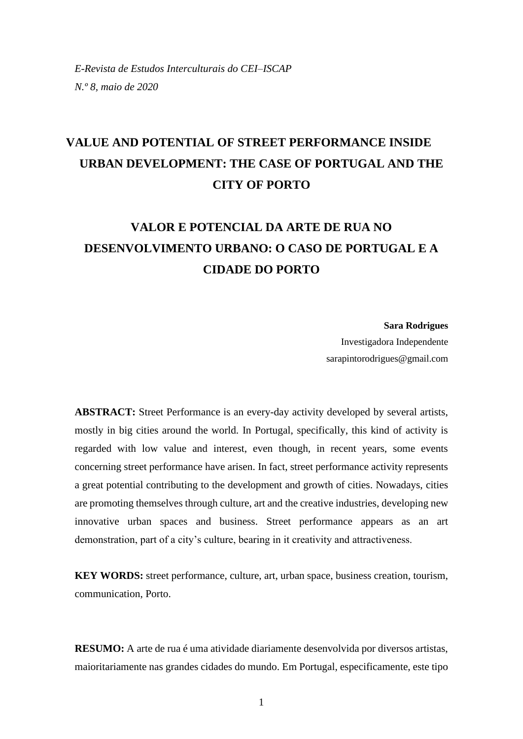## **VALUE AND POTENTIAL OF STREET PERFORMANCE INSIDE URBAN DEVELOPMENT: THE CASE OF PORTUGAL AND THE CITY OF PORTO**

# **VALOR E POTENCIAL DA ARTE DE RUA NO DESENVOLVIMENTO URBANO: O CASO DE PORTUGAL E A CIDADE DO PORTO**

**Sara Rodrigues**

Investigadora Independente sarapintorodrigues@gmail.com

**ABSTRACT:** Street Performance is an every-day activity developed by several artists, mostly in big cities around the world. In Portugal, specifically, this kind of activity is regarded with low value and interest, even though, in recent years, some events concerning street performance have arisen. In fact, street performance activity represents a great potential contributing to the development and growth of cities. Nowadays, cities are promoting themselves through culture, art and the creative industries, developing new innovative urban spaces and business. Street performance appears as an art demonstration, part of a city's culture, bearing in it creativity and attractiveness.

**KEY WORDS:** street performance, culture, art, urban space, business creation, tourism, communication, Porto.

**RESUMO:** A arte de rua é uma atividade diariamente desenvolvida por diversos artistas, maioritariamente nas grandes cidades do mundo. Em Portugal, especificamente, este tipo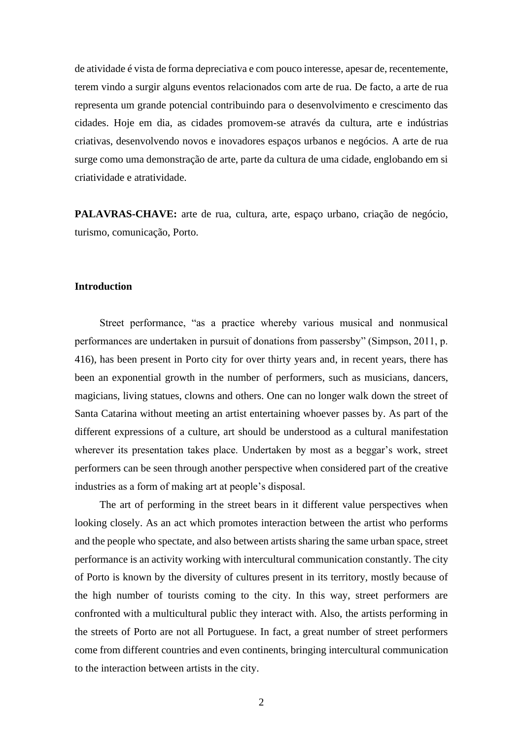de atividade é vista de forma depreciativa e com pouco interesse, apesar de, recentemente, terem vindo a surgir alguns eventos relacionados com arte de rua. De facto, a arte de rua representa um grande potencial contribuindo para o desenvolvimento e crescimento das cidades. Hoje em dia, as cidades promovem-se através da cultura, arte e indústrias criativas, desenvolvendo novos e inovadores espaços urbanos e negócios. A arte de rua surge como uma demonstração de arte, parte da cultura de uma cidade, englobando em si criatividade e atratividade.

**PALAVRAS-CHAVE:** arte de rua, cultura, arte, espaço urbano, criação de negócio, turismo, comunicação, Porto.

## **Introduction**

Street performance, "as a practice whereby various musical and nonmusical performances are undertaken in pursuit of donations from passersby" (Simpson, 2011, p. 416), has been present in Porto city for over thirty years and, in recent years, there has been an exponential growth in the number of performers, such as musicians, dancers, magicians, living statues, clowns and others. One can no longer walk down the street of Santa Catarina without meeting an artist entertaining whoever passes by. As part of the different expressions of a culture, art should be understood as a cultural manifestation wherever its presentation takes place. Undertaken by most as a beggar's work, street performers can be seen through another perspective when considered part of the creative industries as a form of making art at people's disposal.

The art of performing in the street bears in it different value perspectives when looking closely. As an act which promotes interaction between the artist who performs and the people who spectate, and also between artists sharing the same urban space, street performance is an activity working with intercultural communication constantly. The city of Porto is known by the diversity of cultures present in its territory, mostly because of the high number of tourists coming to the city. In this way, street performers are confronted with a multicultural public they interact with. Also, the artists performing in the streets of Porto are not all Portuguese. In fact, a great number of street performers come from different countries and even continents, bringing intercultural communication to the interaction between artists in the city.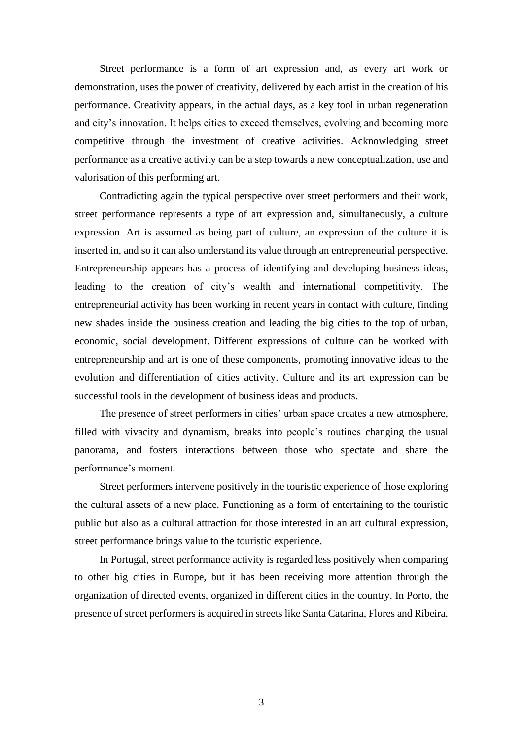Street performance is a form of art expression and, as every art work or demonstration, uses the power of creativity, delivered by each artist in the creation of his performance. Creativity appears, in the actual days, as a key tool in urban regeneration and city's innovation. It helps cities to exceed themselves, evolving and becoming more competitive through the investment of creative activities. Acknowledging street performance as a creative activity can be a step towards a new conceptualization, use and valorisation of this performing art.

Contradicting again the typical perspective over street performers and their work, street performance represents a type of art expression and, simultaneously, a culture expression. Art is assumed as being part of culture, an expression of the culture it is inserted in, and so it can also understand its value through an entrepreneurial perspective. Entrepreneurship appears has a process of identifying and developing business ideas, leading to the creation of city's wealth and international competitivity. The entrepreneurial activity has been working in recent years in contact with culture, finding new shades inside the business creation and leading the big cities to the top of urban, economic, social development. Different expressions of culture can be worked with entrepreneurship and art is one of these components, promoting innovative ideas to the evolution and differentiation of cities activity. Culture and its art expression can be successful tools in the development of business ideas and products.

The presence of street performers in cities' urban space creates a new atmosphere, filled with vivacity and dynamism, breaks into people's routines changing the usual panorama, and fosters interactions between those who spectate and share the performance's moment.

Street performers intervene positively in the touristic experience of those exploring the cultural assets of a new place. Functioning as a form of entertaining to the touristic public but also as a cultural attraction for those interested in an art cultural expression, street performance brings value to the touristic experience.

In Portugal, street performance activity is regarded less positively when comparing to other big cities in Europe, but it has been receiving more attention through the organization of directed events, organized in different cities in the country. In Porto, the presence of street performers is acquired in streets like Santa Catarina, Flores and Ribeira.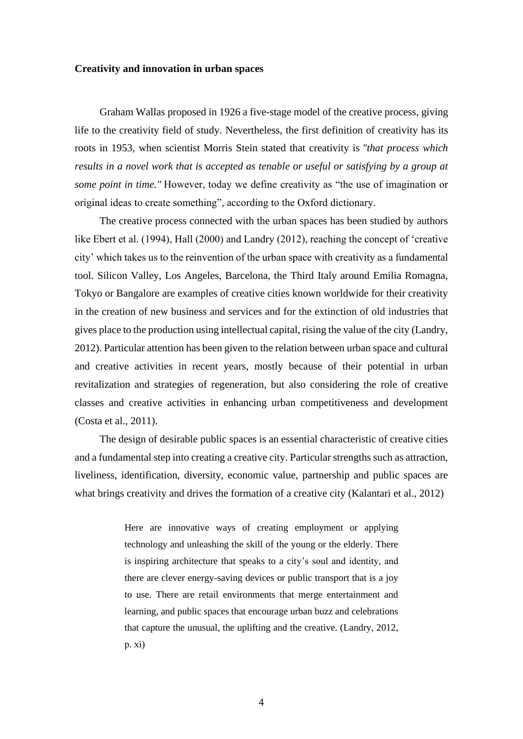#### **Creativity and innovation in urban spaces**

Graham Wallas proposed in 1926 a five-stage model of the creative process, giving life to the creativity field of study. Nevertheless, the first definition of creativity has its roots in 1953, when scientist Morris Stein stated that creativity is *"that process which results in a novel work that is accepted as tenable or useful or satisfying by a group at some point in time."* However, today we define creativity as "the use of imagination or original ideas to create something", according to the Oxford dictionary.

The creative process connected with the urban spaces has been studied by authors like Ebert et al. (1994), Hall (2000) and Landry (2012), reaching the concept of 'creative city' which takes us to the reinvention of the urban space with creativity as a fundamental tool. Silicon Valley, Los Angeles, Barcelona, the Third Italy around Emilia Romagna, Tokyo or Bangalore are examples of creative cities known worldwide for their creativity in the creation of new business and services and for the extinction of old industries that gives place to the production using intellectual capital, rising the value of the city (Landry, 2012). Particular attention has been given to the relation between urban space and cultural and creative activities in recent years, mostly because of their potential in urban revitalization and strategies of regeneration, but also considering the role of creative classes and creative activities in enhancing urban competitiveness and development (Costa et al., 2011).

The design of desirable public spaces is an essential characteristic of creative cities and a fundamental step into creating a creative city. Particular strengths such as attraction, liveliness, identification, diversity, economic value, partnership and public spaces are what brings creativity and drives the formation of a creative city (Kalantari et al., 2012)

> Here are innovative ways of creating employment or applying technology and unleashing the skill of the young or the elderly. There is inspiring architecture that speaks to a city's soul and identity, and there are clever energy-saving devices or public transport that is a joy to use. There are retail environments that merge entertainment and learning, and public spaces that encourage urban buzz and celebrations that capture the unusual, the uplifting and the creative. (Landry, 2012, p. xi)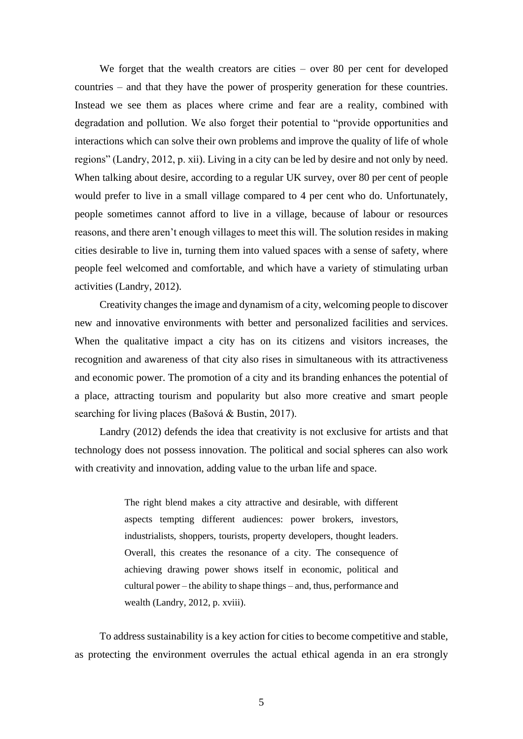We forget that the wealth creators are cities – over 80 per cent for developed countries – and that they have the power of prosperity generation for these countries. Instead we see them as places where crime and fear are a reality, combined with degradation and pollution. We also forget their potential to "provide opportunities and interactions which can solve their own problems and improve the quality of life of whole regions" (Landry, 2012, p. xii). Living in a city can be led by desire and not only by need. When talking about desire, according to a regular UK survey, over 80 per cent of people would prefer to live in a small village compared to 4 per cent who do. Unfortunately, people sometimes cannot afford to live in a village, because of labour or resources reasons, and there aren't enough villages to meet this will. The solution resides in making cities desirable to live in, turning them into valued spaces with a sense of safety, where people feel welcomed and comfortable, and which have a variety of stimulating urban activities (Landry, 2012).

Creativity changes the image and dynamism of a city, welcoming people to discover new and innovative environments with better and personalized facilities and services. When the qualitative impact a city has on its citizens and visitors increases, the recognition and awareness of that city also rises in simultaneous with its attractiveness and economic power. The promotion of a city and its branding enhances the potential of a place, attracting tourism and popularity but also more creative and smart people searching for living places (Bašová & Bustin, 2017).

Landry (2012) defends the idea that creativity is not exclusive for artists and that technology does not possess innovation. The political and social spheres can also work with creativity and innovation, adding value to the urban life and space.

> The right blend makes a city attractive and desirable, with different aspects tempting different audiences: power brokers, investors, industrialists, shoppers, tourists, property developers, thought leaders. Overall, this creates the resonance of a city. The consequence of achieving drawing power shows itself in economic, political and cultural power – the ability to shape things – and, thus, performance and wealth (Landry, 2012, p. xviii).

To address sustainability is a key action for cities to become competitive and stable, as protecting the environment overrules the actual ethical agenda in an era strongly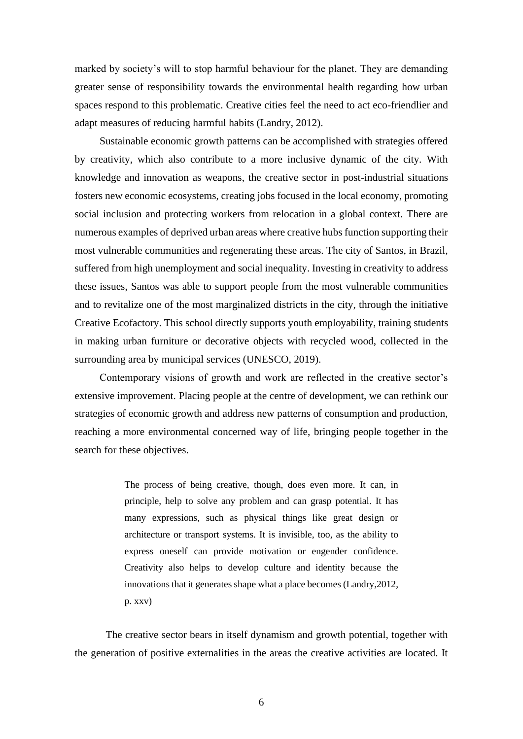marked by society's will to stop harmful behaviour for the planet. They are demanding greater sense of responsibility towards the environmental health regarding how urban spaces respond to this problematic. Creative cities feel the need to act eco-friendlier and adapt measures of reducing harmful habits (Landry, 2012).

Sustainable economic growth patterns can be accomplished with strategies offered by creativity, which also contribute to a more inclusive dynamic of the city. With knowledge and innovation as weapons, the creative sector in post-industrial situations fosters new economic ecosystems, creating jobs focused in the local economy, promoting social inclusion and protecting workers from relocation in a global context. There are numerous examples of deprived urban areas where creative hubs function supporting their most vulnerable communities and regenerating these areas. The city of Santos, in Brazil, suffered from high unemployment and social inequality. Investing in creativity to address these issues, Santos was able to support people from the most vulnerable communities and to revitalize one of the most marginalized districts in the city, through the initiative Creative Ecofactory. This school directly supports youth employability, training students in making urban furniture or decorative objects with recycled wood, collected in the surrounding area by municipal services (UNESCO, 2019).

Contemporary visions of growth and work are reflected in the creative sector's extensive improvement. Placing people at the centre of development, we can rethink our strategies of economic growth and address new patterns of consumption and production, reaching a more environmental concerned way of life, bringing people together in the search for these objectives.

> The process of being creative, though, does even more. It can, in principle, help to solve any problem and can grasp potential. It has many expressions, such as physical things like great design or architecture or transport systems. It is invisible, too, as the ability to express oneself can provide motivation or engender confidence. Creativity also helps to develop culture and identity because the innovations that it generates shape what a place becomes (Landry,2012, p. xxv)

The creative sector bears in itself dynamism and growth potential, together with the generation of positive externalities in the areas the creative activities are located. It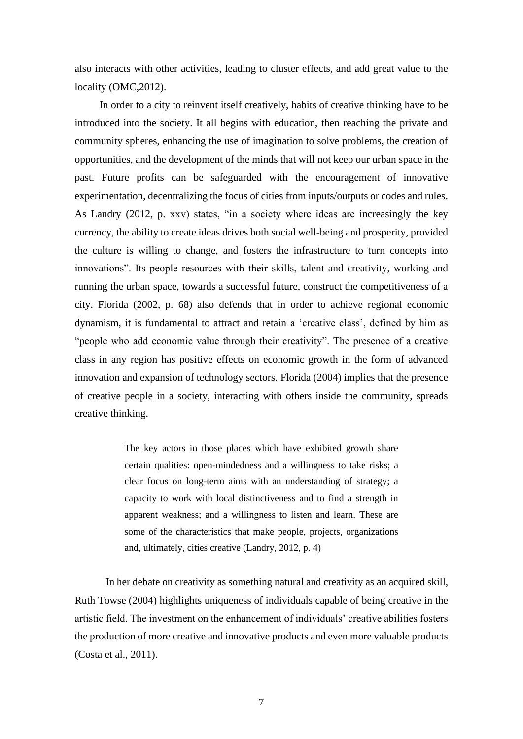also interacts with other activities, leading to cluster effects, and add great value to the locality (OMC,2012).

In order to a city to reinvent itself creatively, habits of creative thinking have to be introduced into the society. It all begins with education, then reaching the private and community spheres, enhancing the use of imagination to solve problems, the creation of opportunities, and the development of the minds that will not keep our urban space in the past. Future profits can be safeguarded with the encouragement of innovative experimentation, decentralizing the focus of cities from inputs/outputs or codes and rules. As Landry (2012, p. xxv) states, "in a society where ideas are increasingly the key currency, the ability to create ideas drives both social well-being and prosperity, provided the culture is willing to change, and fosters the infrastructure to turn concepts into innovations". Its people resources with their skills, talent and creativity, working and running the urban space, towards a successful future, construct the competitiveness of a city. Florida (2002, p. 68) also defends that in order to achieve regional economic dynamism, it is fundamental to attract and retain a 'creative class', defined by him as "people who add economic value through their creativity". The presence of a creative class in any region has positive effects on economic growth in the form of advanced innovation and expansion of technology sectors. Florida (2004) implies that the presence of creative people in a society, interacting with others inside the community, spreads creative thinking.

> The key actors in those places which have exhibited growth share certain qualities: open-mindedness and a willingness to take risks; a clear focus on long-term aims with an understanding of strategy; a capacity to work with local distinctiveness and to find a strength in apparent weakness; and a willingness to listen and learn. These are some of the characteristics that make people, projects, organizations and, ultimately, cities creative (Landry, 2012, p. 4)

In her debate on creativity as something natural and creativity as an acquired skill, Ruth Towse (2004) highlights uniqueness of individuals capable of being creative in the artistic field. The investment on the enhancement of individuals' creative abilities fosters the production of more creative and innovative products and even more valuable products (Costa et al., 2011).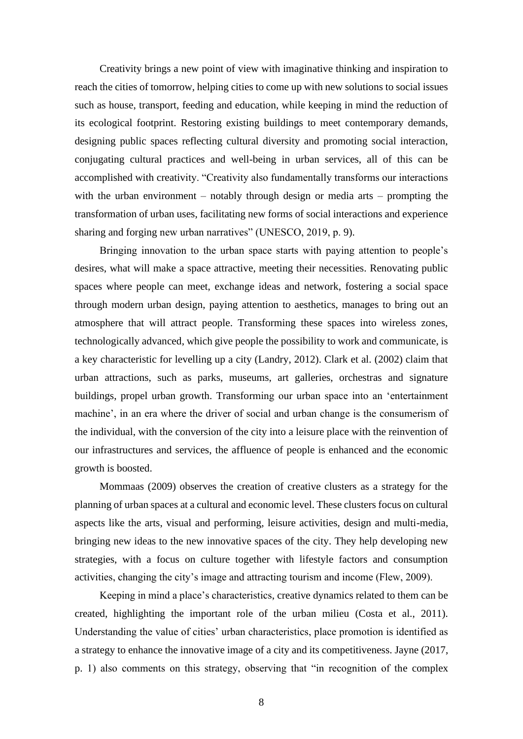Creativity brings a new point of view with imaginative thinking and inspiration to reach the cities of tomorrow, helping cities to come up with new solutions to social issues such as house, transport, feeding and education, while keeping in mind the reduction of its ecological footprint. Restoring existing buildings to meet contemporary demands, designing public spaces reflecting cultural diversity and promoting social interaction, conjugating cultural practices and well-being in urban services, all of this can be accomplished with creativity. "Creativity also fundamentally transforms our interactions with the urban environment – notably through design or media arts – prompting the transformation of urban uses, facilitating new forms of social interactions and experience sharing and forging new urban narratives" (UNESCO, 2019, p. 9).

Bringing innovation to the urban space starts with paying attention to people's desires, what will make a space attractive, meeting their necessities. Renovating public spaces where people can meet, exchange ideas and network, fostering a social space through modern urban design, paying attention to aesthetics, manages to bring out an atmosphere that will attract people. Transforming these spaces into wireless zones, technologically advanced, which give people the possibility to work and communicate, is a key characteristic for levelling up a city (Landry, 2012). Clark et al. (2002) claim that urban attractions, such as parks, museums, art galleries, orchestras and signature buildings, propel urban growth. Transforming our urban space into an 'entertainment machine', in an era where the driver of social and urban change is the consumerism of the individual, with the conversion of the city into a leisure place with the reinvention of our infrastructures and services, the affluence of people is enhanced and the economic growth is boosted.

Mommaas (2009) observes the creation of creative clusters as a strategy for the planning of urban spaces at a cultural and economic level. These clusters focus on cultural aspects like the arts, visual and performing, leisure activities, design and multi-media, bringing new ideas to the new innovative spaces of the city. They help developing new strategies, with a focus on culture together with lifestyle factors and consumption activities, changing the city's image and attracting tourism and income (Flew, 2009).

Keeping in mind a place's characteristics, creative dynamics related to them can be created, highlighting the important role of the urban milieu (Costa et al., 2011). Understanding the value of cities' urban characteristics, place promotion is identified as a strategy to enhance the innovative image of a city and its competitiveness. Jayne (2017, p. 1) also comments on this strategy, observing that "in recognition of the complex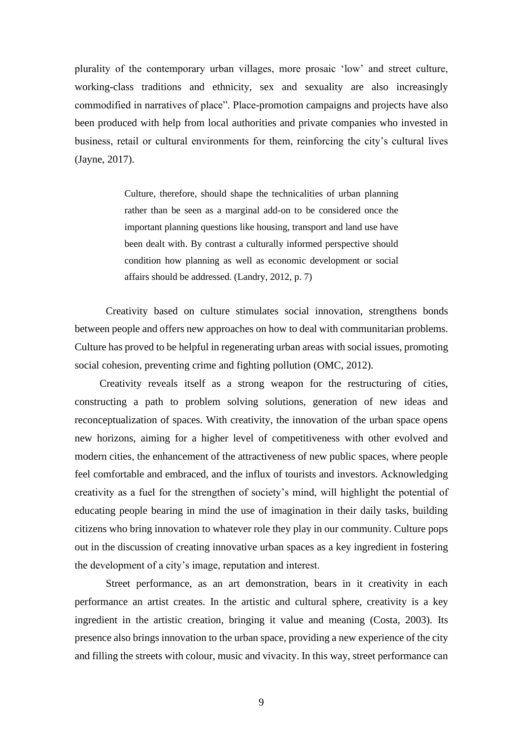plurality of the contemporary urban villages, more prosaic 'low' and street culture, working-class traditions and ethnicity, sex and sexuality are also increasingly commodified in narratives of place". Place-promotion campaigns and projects have also been produced with help from local authorities and private companies who invested in business, retail or cultural environments for them, reinforcing the city's cultural lives (Jayne, 2017).

> Culture, therefore, should shape the technicalities of urban planning rather than be seen as a marginal add-on to be considered once the important planning questions like housing, transport and land use have been dealt with. By contrast a culturally informed perspective should condition how planning as well as economic development or social affairs should be addressed. (Landry, 2012, p. 7)

Creativity based on culture stimulates social innovation, strengthens bonds between people and offers new approaches on how to deal with communitarian problems. Culture has proved to be helpful in regenerating urban areas with social issues, promoting social cohesion, preventing crime and fighting pollution (OMC, 2012).

Creativity reveals itself as a strong weapon for the restructuring of cities, constructing a path to problem solving solutions, generation of new ideas and reconceptualization of spaces. With creativity, the innovation of the urban space opens new horizons, aiming for a higher level of competitiveness with other evolved and modern cities, the enhancement of the attractiveness of new public spaces, where people feel comfortable and embraced, and the influx of tourists and investors. Acknowledging creativity as a fuel for the strengthen of society's mind, will highlight the potential of educating people bearing in mind the use of imagination in their daily tasks, building citizens who bring innovation to whatever role they play in our community. Culture pops out in the discussion of creating innovative urban spaces as a key ingredient in fostering the development of a city's image, reputation and interest.

Street performance, as an art demonstration, bears in it creativity in each performance an artist creates. In the artistic and cultural sphere, creativity is a key ingredient in the artistic creation, bringing it value and meaning (Costa, 2003). Its presence also brings innovation to the urban space, providing a new experience of the city and filling the streets with colour, music and vivacity. In this way, street performance can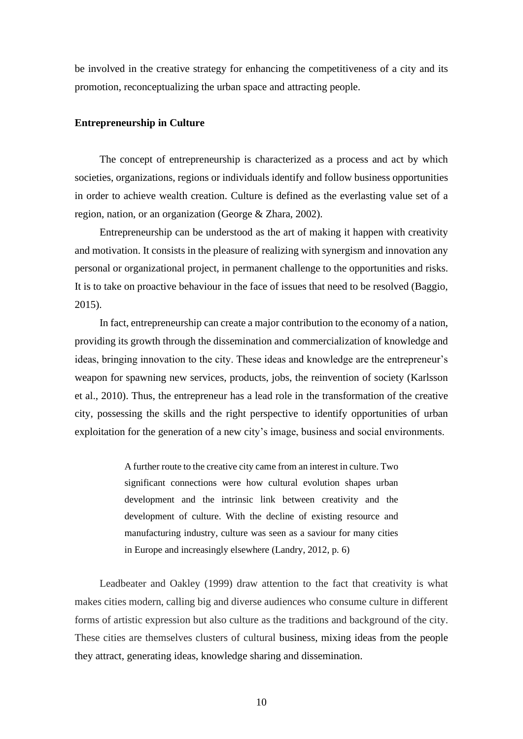be involved in the creative strategy for enhancing the competitiveness of a city and its promotion, reconceptualizing the urban space and attracting people.

### **Entrepreneurship in Culture**

The concept of entrepreneurship is characterized as a process and act by which societies, organizations, regions or individuals identify and follow business opportunities in order to achieve wealth creation. Culture is defined as the everlasting value set of a region, nation, or an organization (George & Zhara, 2002).

Entrepreneurship can be understood as the art of making it happen with creativity and motivation. It consists in the pleasure of realizing with synergism and innovation any personal or organizational project, in permanent challenge to the opportunities and risks. It is to take on proactive behaviour in the face of issues that need to be resolved (Baggio, 2015).

In fact, entrepreneurship can create a major contribution to the economy of a nation, providing its growth through the dissemination and commercialization of knowledge and ideas, bringing innovation to the city. These ideas and knowledge are the entrepreneur's weapon for spawning new services, products, jobs, the reinvention of society (Karlsson et al., 2010). Thus, the entrepreneur has a lead role in the transformation of the creative city, possessing the skills and the right perspective to identify opportunities of urban exploitation for the generation of a new city's image, business and social environments.

> A further route to the creative city came from an interest in culture. Two significant connections were how cultural evolution shapes urban development and the intrinsic link between creativity and the development of culture. With the decline of existing resource and manufacturing industry, culture was seen as a saviour for many cities in Europe and increasingly elsewhere (Landry, 2012, p. 6)

Leadbeater and Oakley (1999) draw attention to the fact that creativity is what makes cities modern, calling big and diverse audiences who consume culture in different forms of artistic expression but also culture as the traditions and background of the city. These cities are themselves clusters of cultural business, mixing ideas from the people they attract, generating ideas, knowledge sharing and dissemination.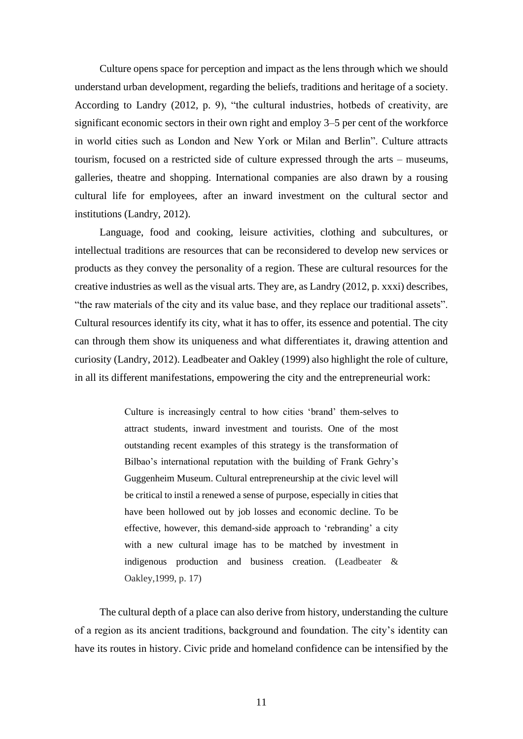Culture opens space for perception and impact as the lens through which we should understand urban development, regarding the beliefs, traditions and heritage of a society. According to Landry (2012, p. 9), "the cultural industries, hotbeds of creativity, are significant economic sectors in their own right and employ 3–5 per cent of the workforce in world cities such as London and New York or Milan and Berlin". Culture attracts tourism, focused on a restricted side of culture expressed through the arts – museums, galleries, theatre and shopping. International companies are also drawn by a rousing cultural life for employees, after an inward investment on the cultural sector and institutions (Landry, 2012).

Language, food and cooking, leisure activities, clothing and subcultures, or intellectual traditions are resources that can be reconsidered to develop new services or products as they convey the personality of a region. These are cultural resources for the creative industries as well as the visual arts. They are, as Landry (2012, p. xxxi) describes, "the raw materials of the city and its value base, and they replace our traditional assets". Cultural resources identify its city, what it has to offer, its essence and potential. The city can through them show its uniqueness and what differentiates it, drawing attention and curiosity (Landry, 2012). Leadbeater and Oakley (1999) also highlight the role of culture, in all its different manifestations, empowering the city and the entrepreneurial work:

> Culture is increasingly central to how cities 'brand' them-selves to attract students, inward investment and tourists. One of the most outstanding recent examples of this strategy is the transformation of Bilbao's international reputation with the building of Frank Gehry's Guggenheim Museum. Cultural entrepreneurship at the civic level will be critical to instil a renewed a sense of purpose, especially in cities that have been hollowed out by job losses and economic decline. To be effective, however, this demand-side approach to 'rebranding' a city with a new cultural image has to be matched by investment in indigenous production and business creation. (Leadbeater & Oakley,1999, p. 17)

The cultural depth of a place can also derive from history, understanding the culture of a region as its ancient traditions, background and foundation. The city's identity can have its routes in history. Civic pride and homeland confidence can be intensified by the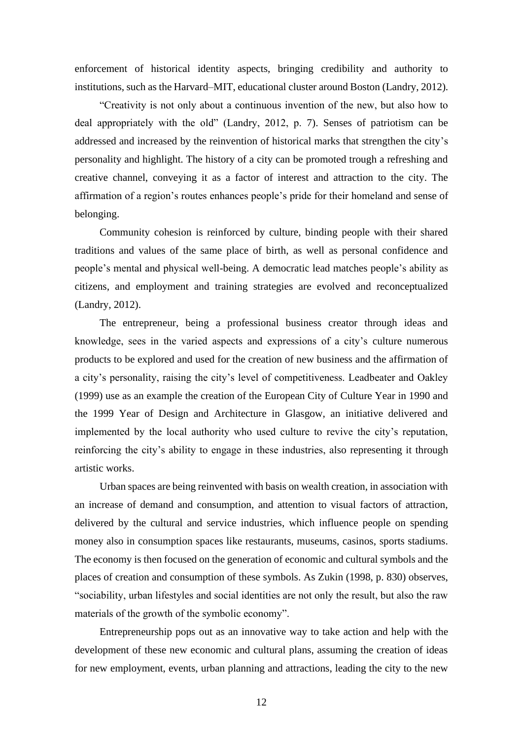enforcement of historical identity aspects, bringing credibility and authority to institutions, such as the Harvard–MIT, educational cluster around Boston (Landry, 2012).

"Creativity is not only about a continuous invention of the new, but also how to deal appropriately with the old" (Landry, 2012, p. 7). Senses of patriotism can be addressed and increased by the reinvention of historical marks that strengthen the city's personality and highlight. The history of a city can be promoted trough a refreshing and creative channel, conveying it as a factor of interest and attraction to the city. The affirmation of a region's routes enhances people's pride for their homeland and sense of belonging.

Community cohesion is reinforced by culture, binding people with their shared traditions and values of the same place of birth, as well as personal confidence and people's mental and physical well-being. A democratic lead matches people's ability as citizens, and employment and training strategies are evolved and reconceptualized (Landry, 2012).

The entrepreneur, being a professional business creator through ideas and knowledge, sees in the varied aspects and expressions of a city's culture numerous products to be explored and used for the creation of new business and the affirmation of a city's personality, raising the city's level of competitiveness. Leadbeater and Oakley (1999) use as an example the creation of the European City of Culture Year in 1990 and the 1999 Year of Design and Architecture in Glasgow, an initiative delivered and implemented by the local authority who used culture to revive the city's reputation, reinforcing the city's ability to engage in these industries, also representing it through artistic works.

Urban spaces are being reinvented with basis on wealth creation, in association with an increase of demand and consumption, and attention to visual factors of attraction, delivered by the cultural and service industries, which influence people on spending money also in consumption spaces like restaurants, museums, casinos, sports stadiums. The economy is then focused on the generation of economic and cultural symbols and the places of creation and consumption of these symbols. As Zukin (1998, p. 830) observes, "sociability, urban lifestyles and social identities are not only the result, but also the raw materials of the growth of the symbolic economy".

Entrepreneurship pops out as an innovative way to take action and help with the development of these new economic and cultural plans, assuming the creation of ideas for new employment, events, urban planning and attractions, leading the city to the new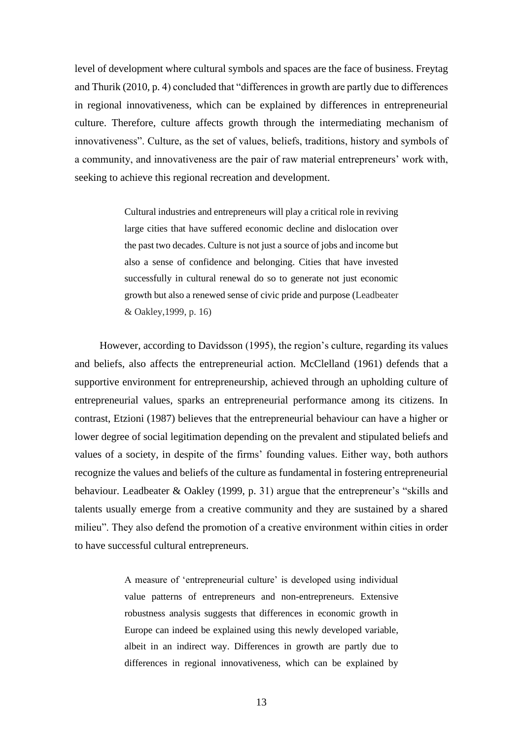level of development where cultural symbols and spaces are the face of business. Freytag and Thurik (2010, p. 4) concluded that "differences in growth are partly due to differences in regional innovativeness, which can be explained by differences in entrepreneurial culture. Therefore, culture affects growth through the intermediating mechanism of innovativeness". Culture, as the set of values, beliefs, traditions, history and symbols of a community, and innovativeness are the pair of raw material entrepreneurs' work with, seeking to achieve this regional recreation and development.

> Cultural industries and entrepreneurs will play a critical role in reviving large cities that have suffered economic decline and dislocation over the past two decades. Culture is not just a source of jobs and income but also a sense of confidence and belonging. Cities that have invested successfully in cultural renewal do so to generate not just economic growth but also a renewed sense of civic pride and purpose (Leadbeater & Oakley,1999, p. 16)

However, according to Davidsson (1995), the region's culture, regarding its values and beliefs, also affects the entrepreneurial action. McClelland (1961) defends that a supportive environment for entrepreneurship, achieved through an upholding culture of entrepreneurial values, sparks an entrepreneurial performance among its citizens. In contrast, Etzioni (1987) believes that the entrepreneurial behaviour can have a higher or lower degree of social legitimation depending on the prevalent and stipulated beliefs and values of a society, in despite of the firms' founding values. Either way, both authors recognize the values and beliefs of the culture as fundamental in fostering entrepreneurial behaviour. Leadbeater & Oakley (1999, p. 31) argue that the entrepreneur's "skills and talents usually emerge from a creative community and they are sustained by a shared milieu". They also defend the promotion of a creative environment within cities in order to have successful cultural entrepreneurs.

> A measure of 'entrepreneurial culture' is developed using individual value patterns of entrepreneurs and non-entrepreneurs. Extensive robustness analysis suggests that differences in economic growth in Europe can indeed be explained using this newly developed variable, albeit in an indirect way. Differences in growth are partly due to differences in regional innovativeness, which can be explained by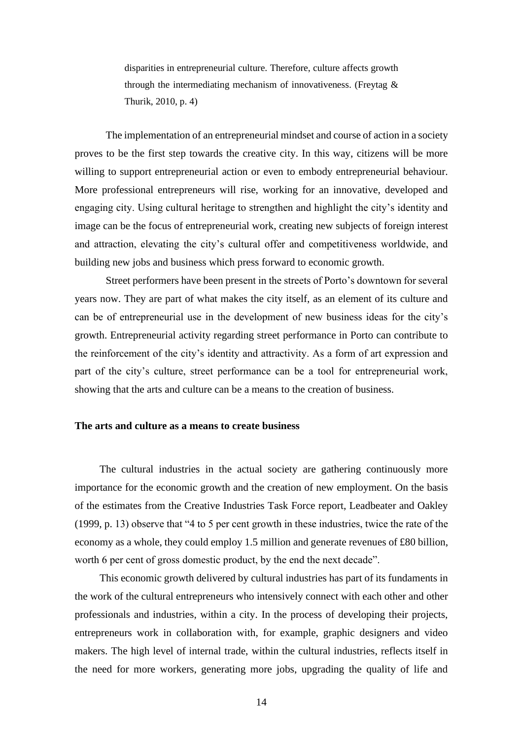disparities in entrepreneurial culture. Therefore, culture affects growth through the intermediating mechanism of innovativeness. (Freytag & Thurik, 2010, p. 4)

The implementation of an entrepreneurial mindset and course of action in a society proves to be the first step towards the creative city. In this way, citizens will be more willing to support entrepreneurial action or even to embody entrepreneurial behaviour. More professional entrepreneurs will rise, working for an innovative, developed and engaging city. Using cultural heritage to strengthen and highlight the city's identity and image can be the focus of entrepreneurial work, creating new subjects of foreign interest and attraction, elevating the city's cultural offer and competitiveness worldwide, and building new jobs and business which press forward to economic growth.

Street performers have been present in the streets of Porto's downtown for several years now. They are part of what makes the city itself, as an element of its culture and can be of entrepreneurial use in the development of new business ideas for the city's growth. Entrepreneurial activity regarding street performance in Porto can contribute to the reinforcement of the city's identity and attractivity. As a form of art expression and part of the city's culture, street performance can be a tool for entrepreneurial work, showing that the arts and culture can be a means to the creation of business.

### **The arts and culture as a means to create business**

The cultural industries in the actual society are gathering continuously more importance for the economic growth and the creation of new employment. On the basis of the estimates from the Creative Industries Task Force report, Leadbeater and Oakley (1999, p. 13) observe that "4 to 5 per cent growth in these industries, twice the rate of the economy as a whole, they could employ 1.5 million and generate revenues of £80 billion, worth 6 per cent of gross domestic product, by the end the next decade".

This economic growth delivered by cultural industries has part of its fundaments in the work of the cultural entrepreneurs who intensively connect with each other and other professionals and industries, within a city. In the process of developing their projects, entrepreneurs work in collaboration with, for example, graphic designers and video makers. The high level of internal trade, within the cultural industries, reflects itself in the need for more workers, generating more jobs, upgrading the quality of life and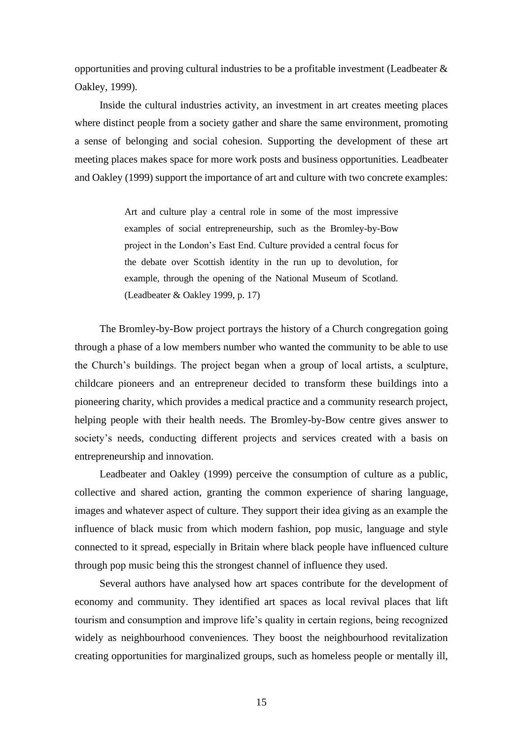opportunities and proving cultural industries to be a profitable investment (Leadbeater & Oakley, 1999).

Inside the cultural industries activity, an investment in art creates meeting places where distinct people from a society gather and share the same environment, promoting a sense of belonging and social cohesion. Supporting the development of these art meeting places makes space for more work posts and business opportunities. Leadbeater and Oakley (1999) support the importance of art and culture with two concrete examples:

> Art and culture play a central role in some of the most impressive examples of social entrepreneurship, such as the Bromley-by-Bow project in the London's East End. Culture provided a central focus for the debate over Scottish identity in the run up to devolution, for example, through the opening of the National Museum of Scotland. (Leadbeater & Oakley 1999, p. 17)

The Bromley-by-Bow project portrays the history of a Church congregation going through a phase of a low members number who wanted the community to be able to use the Church's buildings. The project began when a group of local artists, a sculpture, childcare pioneers and an entrepreneur decided to transform these buildings into a pioneering charity, which provides a medical practice and a community research project, helping people with their health needs. The Bromley-by-Bow centre gives answer to society's needs, conducting different projects and services created with a basis on entrepreneurship and innovation.

Leadbeater and Oakley (1999) perceive the consumption of culture as a public, collective and shared action, granting the common experience of sharing language, images and whatever aspect of culture. They support their idea giving as an example the influence of black music from which modern fashion, pop music, language and style connected to it spread, especially in Britain where black people have influenced culture through pop music being this the strongest channel of influence they used.

Several authors have analysed how art spaces contribute for the development of economy and community. They identified art spaces as local revival places that lift tourism and consumption and improve life's quality in certain regions, being recognized widely as neighbourhood conveniences. They boost the neighbourhood revitalization creating opportunities for marginalized groups, such as homeless people or mentally ill,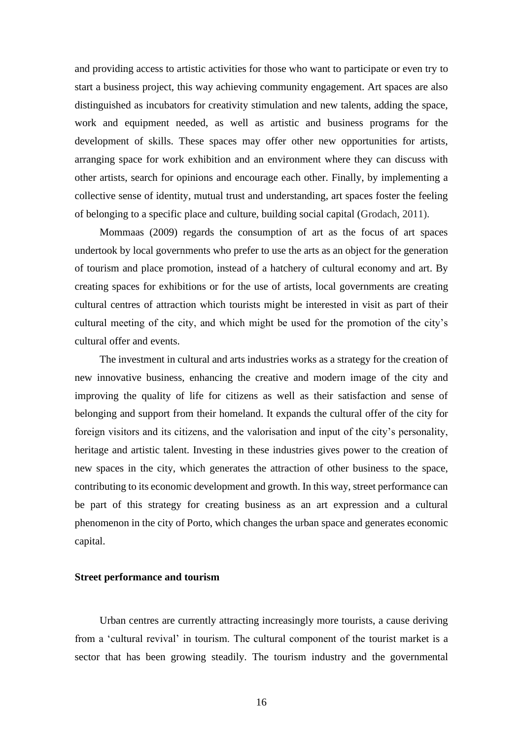and providing access to artistic activities for those who want to participate or even try to start a business project, this way achieving community engagement. Art spaces are also distinguished as incubators for creativity stimulation and new talents, adding the space, work and equipment needed, as well as artistic and business programs for the development of skills. These spaces may offer other new opportunities for artists, arranging space for work exhibition and an environment where they can discuss with other artists, search for opinions and encourage each other. Finally, by implementing a collective sense of identity, mutual trust and understanding, art spaces foster the feeling of belonging to a specific place and culture, building social capital (Grodach, 2011).

Mommaas (2009) regards the consumption of art as the focus of art spaces undertook by local governments who prefer to use the arts as an object for the generation of tourism and place promotion, instead of a hatchery of cultural economy and art. By creating spaces for exhibitions or for the use of artists, local governments are creating cultural centres of attraction which tourists might be interested in visit as part of their cultural meeting of the city, and which might be used for the promotion of the city's cultural offer and events.

The investment in cultural and arts industries works as a strategy for the creation of new innovative business, enhancing the creative and modern image of the city and improving the quality of life for citizens as well as their satisfaction and sense of belonging and support from their homeland. It expands the cultural offer of the city for foreign visitors and its citizens, and the valorisation and input of the city's personality, heritage and artistic talent. Investing in these industries gives power to the creation of new spaces in the city, which generates the attraction of other business to the space, contributing to its economic development and growth. In this way, street performance can be part of this strategy for creating business as an art expression and a cultural phenomenon in the city of Porto, which changes the urban space and generates economic capital.

## **Street performance and tourism**

Urban centres are currently attracting increasingly more tourists, a cause deriving from a 'cultural revival' in tourism. The cultural component of the tourist market is a sector that has been growing steadily. The tourism industry and the governmental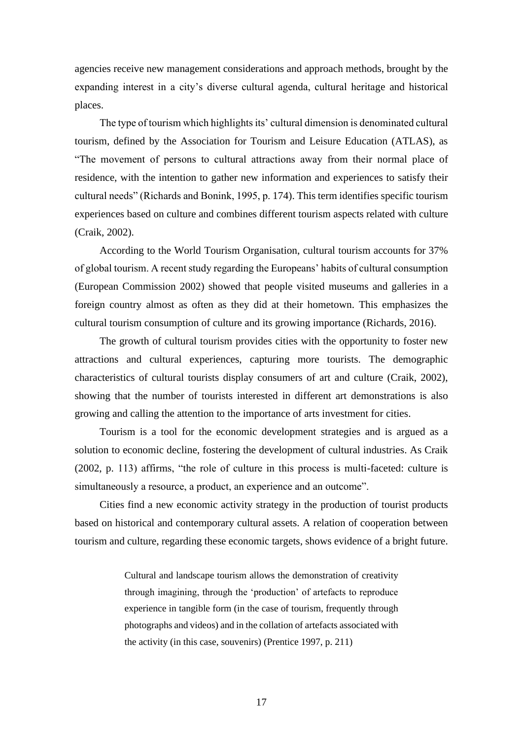agencies receive new management considerations and approach methods, brought by the expanding interest in a city's diverse cultural agenda, cultural heritage and historical places.

The type of tourism which highlights its' cultural dimension is denominated cultural tourism, defined by the Association for Tourism and Leisure Education (ATLAS), as "The movement of persons to cultural attractions away from their normal place of residence, with the intention to gather new information and experiences to satisfy their cultural needs" (Richards and Bonink, 1995, p. 174). This term identifies specific tourism experiences based on culture and combines different tourism aspects related with culture (Craik, 2002).

According to the World Tourism Organisation, cultural tourism accounts for 37% of global tourism. A recent study regarding the Europeans' habits of cultural consumption (European Commission 2002) showed that people visited museums and galleries in a foreign country almost as often as they did at their hometown. This emphasizes the cultural tourism consumption of culture and its growing importance (Richards, 2016).

The growth of cultural tourism provides cities with the opportunity to foster new attractions and cultural experiences, capturing more tourists. The demographic characteristics of cultural tourists display consumers of art and culture (Craik, 2002), showing that the number of tourists interested in different art demonstrations is also growing and calling the attention to the importance of arts investment for cities.

Tourism is a tool for the economic development strategies and is argued as a solution to economic decline, fostering the development of cultural industries. As Craik (2002, p. 113) affirms, "the role of culture in this process is multi-faceted: culture is simultaneously a resource, a product, an experience and an outcome".

Cities find a new economic activity strategy in the production of tourist products based on historical and contemporary cultural assets. A relation of cooperation between tourism and culture, regarding these economic targets, shows evidence of a bright future.

> Cultural and landscape tourism allows the demonstration of creativity through imagining, through the 'production' of artefacts to reproduce experience in tangible form (in the case of tourism, frequently through photographs and videos) and in the collation of artefacts associated with the activity (in this case, souvenirs) (Prentice 1997, p. 211)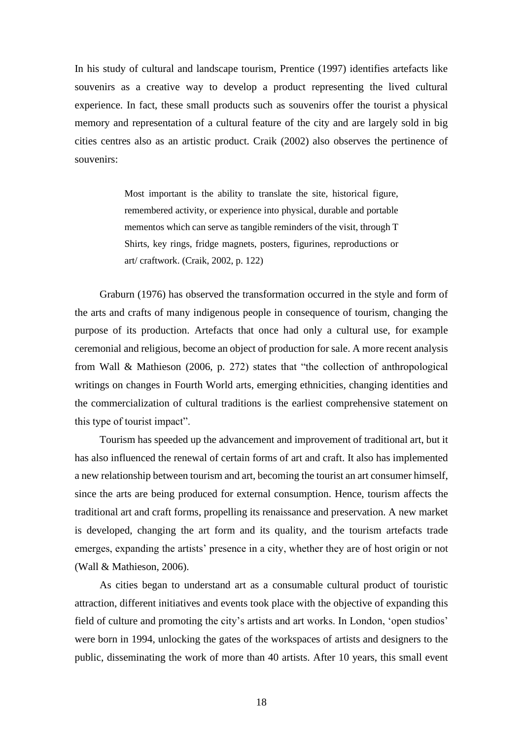In his study of cultural and landscape tourism, Prentice (1997) identifies artefacts like souvenirs as a creative way to develop a product representing the lived cultural experience. In fact, these small products such as souvenirs offer the tourist a physical memory and representation of a cultural feature of the city and are largely sold in big cities centres also as an artistic product. Craik (2002) also observes the pertinence of souvenirs:

> Most important is the ability to translate the site, historical figure, remembered activity, or experience into physical, durable and portable mementos which can serve as tangible reminders of the visit, through T Shirts, key rings, fridge magnets, posters, figurines, reproductions or art/ craftwork. (Craik, 2002, p. 122)

Graburn (1976) has observed the transformation occurred in the style and form of the arts and crafts of many indigenous people in consequence of tourism, changing the purpose of its production. Artefacts that once had only a cultural use, for example ceremonial and religious, become an object of production for sale. A more recent analysis from Wall & Mathieson (2006, p. 272) states that "the collection of anthropological writings on changes in Fourth World arts, emerging ethnicities, changing identities and the commercialization of cultural traditions is the earliest comprehensive statement on this type of tourist impact".

Tourism has speeded up the advancement and improvement of traditional art, but it has also influenced the renewal of certain forms of art and craft. It also has implemented a new relationship between tourism and art, becoming the tourist an art consumer himself, since the arts are being produced for external consumption. Hence, tourism affects the traditional art and craft forms, propelling its renaissance and preservation. A new market is developed, changing the art form and its quality, and the tourism artefacts trade emerges, expanding the artists' presence in a city, whether they are of host origin or not (Wall & Mathieson, 2006).

As cities began to understand art as a consumable cultural product of touristic attraction, different initiatives and events took place with the objective of expanding this field of culture and promoting the city's artists and art works. In London, 'open studios' were born in 1994, unlocking the gates of the workspaces of artists and designers to the public, disseminating the work of more than 40 artists. After 10 years, this small event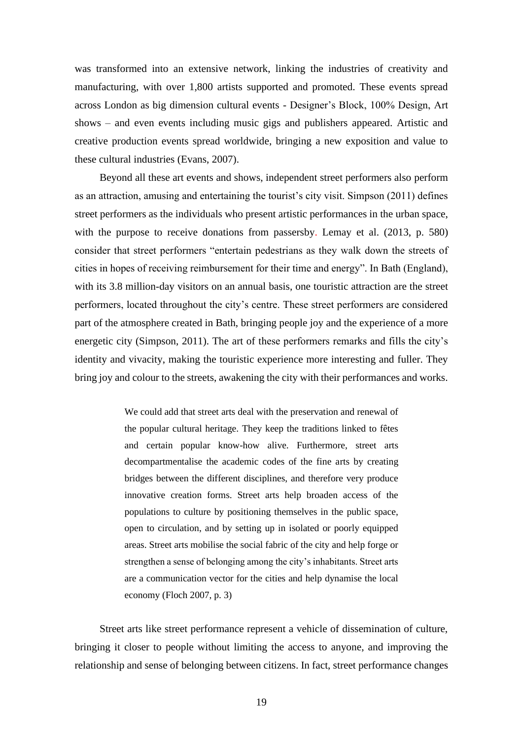was transformed into an extensive network, linking the industries of creativity and manufacturing, with over 1,800 artists supported and promoted. These events spread across London as big dimension cultural events - Designer's Block, 100% Design, Art shows – and even events including music gigs and publishers appeared. Artistic and creative production events spread worldwide, bringing a new exposition and value to these cultural industries (Evans, 2007).

Beyond all these art events and shows, independent street performers also perform as an attraction, amusing and entertaining the tourist's city visit. Simpson (2011) defines street performers as the individuals who present artistic performances in the urban space, with the purpose to receive donations from passersby. Lemay et al. (2013, p. 580) consider that street performers "entertain pedestrians as they walk down the streets of cities in hopes of receiving reimbursement for their time and energy". In Bath (England), with its 3.8 million-day visitors on an annual basis, one touristic attraction are the street performers, located throughout the city's centre. These street performers are considered part of the atmosphere created in Bath, bringing people joy and the experience of a more energetic city (Simpson, 2011). The art of these performers remarks and fills the city's identity and vivacity, making the touristic experience more interesting and fuller. They bring joy and colour to the streets, awakening the city with their performances and works.

> We could add that street arts deal with the preservation and renewal of the popular cultural heritage. They keep the traditions linked to fêtes and certain popular know-how alive. Furthermore, street arts decompartmentalise the academic codes of the fine arts by creating bridges between the different disciplines, and therefore very produce innovative creation forms. Street arts help broaden access of the populations to culture by positioning themselves in the public space, open to circulation, and by setting up in isolated or poorly equipped areas. Street arts mobilise the social fabric of the city and help forge or strengthen a sense of belonging among the city's inhabitants. Street arts are a communication vector for the cities and help dynamise the local economy (Floch 2007, p. 3)

Street arts like street performance represent a vehicle of dissemination of culture, bringing it closer to people without limiting the access to anyone, and improving the relationship and sense of belonging between citizens. In fact, street performance changes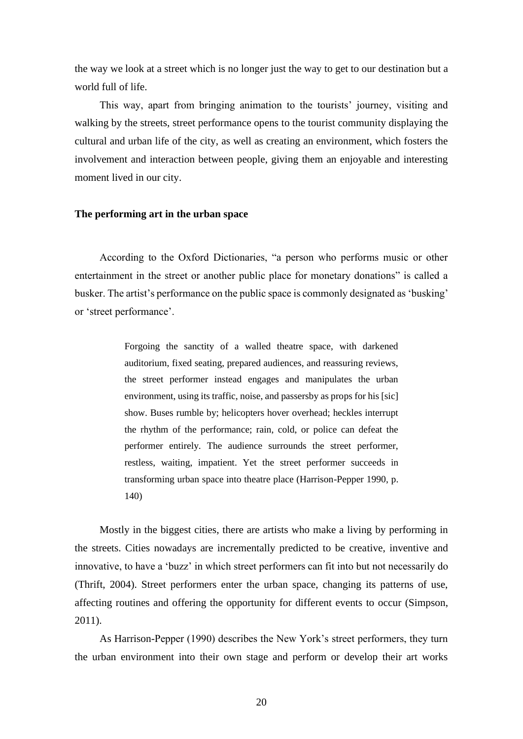the way we look at a street which is no longer just the way to get to our destination but a world full of life.

This way, apart from bringing animation to the tourists' journey, visiting and walking by the streets, street performance opens to the tourist community displaying the cultural and urban life of the city, as well as creating an environment, which fosters the involvement and interaction between people, giving them an enjoyable and interesting moment lived in our city.

#### **The performing art in the urban space**

According to the Oxford Dictionaries, "a person who performs music or other entertainment in the street or another public place for monetary donations" is called a busker. The artist's performance on the public space is commonly designated as 'busking' or 'street performance'.

> Forgoing the sanctity of a walled theatre space, with darkened auditorium, fixed seating, prepared audiences, and reassuring reviews, the street performer instead engages and manipulates the urban environment, using its traffic, noise, and passersby as props for his [sic] show. Buses rumble by; helicopters hover overhead; heckles interrupt the rhythm of the performance; rain, cold, or police can defeat the performer entirely. The audience surrounds the street performer, restless, waiting, impatient. Yet the street performer succeeds in transforming urban space into theatre place (Harrison-Pepper 1990, p. 140)

Mostly in the biggest cities, there are artists who make a living by performing in the streets. Cities nowadays are incrementally predicted to be creative, inventive and innovative, to have a 'buzz' in which street performers can fit into but not necessarily do (Thrift, 2004). Street performers enter the urban space, changing its patterns of use, affecting routines and offering the opportunity for different events to occur (Simpson, 2011).

As Harrison-Pepper (1990) describes the New York's street performers, they turn the urban environment into their own stage and perform or develop their art works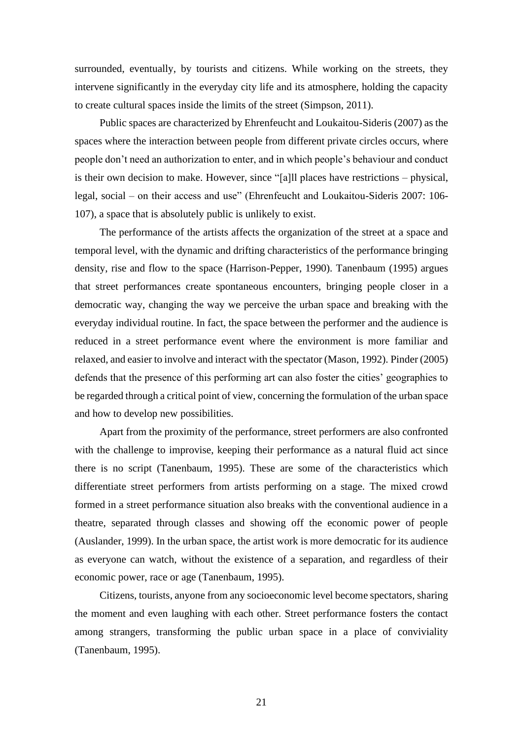surrounded, eventually, by tourists and citizens. While working on the streets, they intervene significantly in the everyday city life and its atmosphere, holding the capacity to create cultural spaces inside the limits of the street (Simpson, 2011).

Public spaces are characterized by Ehrenfeucht and Loukaitou-Sideris (2007) as the spaces where the interaction between people from different private circles occurs, where people don't need an authorization to enter, and in which people's behaviour and conduct is their own decision to make. However, since "[a]ll places have restrictions – physical, legal, social – on their access and use" (Ehrenfeucht and Loukaitou-Sideris 2007: 106- 107), a space that is absolutely public is unlikely to exist.

The performance of the artists affects the organization of the street at a space and temporal level, with the dynamic and drifting characteristics of the performance bringing density, rise and flow to the space (Harrison-Pepper, 1990). Tanenbaum (1995) argues that street performances create spontaneous encounters, bringing people closer in a democratic way, changing the way we perceive the urban space and breaking with the everyday individual routine. In fact, the space between the performer and the audience is reduced in a street performance event where the environment is more familiar and relaxed, and easier to involve and interact with the spectator (Mason, 1992). Pinder (2005) defends that the presence of this performing art can also foster the cities' geographies to be regarded through a critical point of view, concerning the formulation of the urban space and how to develop new possibilities.

Apart from the proximity of the performance, street performers are also confronted with the challenge to improvise, keeping their performance as a natural fluid act since there is no script (Tanenbaum, 1995). These are some of the characteristics which differentiate street performers from artists performing on a stage. The mixed crowd formed in a street performance situation also breaks with the conventional audience in a theatre, separated through classes and showing off the economic power of people (Auslander, 1999). In the urban space, the artist work is more democratic for its audience as everyone can watch, without the existence of a separation, and regardless of their economic power, race or age (Tanenbaum, 1995).

Citizens, tourists, anyone from any socioeconomic level become spectators, sharing the moment and even laughing with each other. Street performance fosters the contact among strangers, transforming the public urban space in a place of conviviality (Tanenbaum, 1995).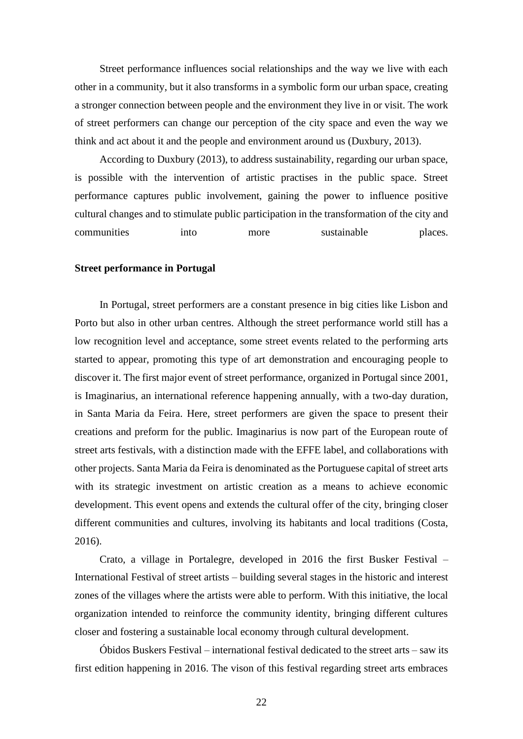Street performance influences social relationships and the way we live with each other in a community, but it also transforms in a symbolic form our urban space, creating a stronger connection between people and the environment they live in or visit. The work of street performers can change our perception of the city space and even the way we think and act about it and the people and environment around us (Duxbury, 2013).

According to Duxbury (2013), to address sustainability, regarding our urban space, is possible with the intervention of artistic practises in the public space. Street performance captures public involvement, gaining the power to influence positive cultural changes and to stimulate public participation in the transformation of the city and communities into more sustainable places.

#### **Street performance in Portugal**

In Portugal, street performers are a constant presence in big cities like Lisbon and Porto but also in other urban centres. Although the street performance world still has a low recognition level and acceptance, some street events related to the performing arts started to appear, promoting this type of art demonstration and encouraging people to discover it. The first major event of street performance, organized in Portugal since 2001, is Imaginarius, an international reference happening annually, with a two-day duration, in Santa Maria da Feira. Here, street performers are given the space to present their creations and preform for the public. Imaginarius is now part of the European route of street arts festivals, with a distinction made with the EFFE label, and collaborations with other projects. Santa Maria da Feira is denominated as the Portuguese capital of street arts with its strategic investment on artistic creation as a means to achieve economic development. This event opens and extends the cultural offer of the city, bringing closer different communities and cultures, involving its habitants and local traditions (Costa, 2016).

Crato, a village in Portalegre, developed in 2016 the first Busker Festival – International Festival of street artists – building several stages in the historic and interest zones of the villages where the artists were able to perform. With this initiative, the local organization intended to reinforce the community identity, bringing different cultures closer and fostering a sustainable local economy through cultural development.

Óbidos Buskers Festival – international festival dedicated to the street arts – saw its first edition happening in 2016. The vison of this festival regarding street arts embraces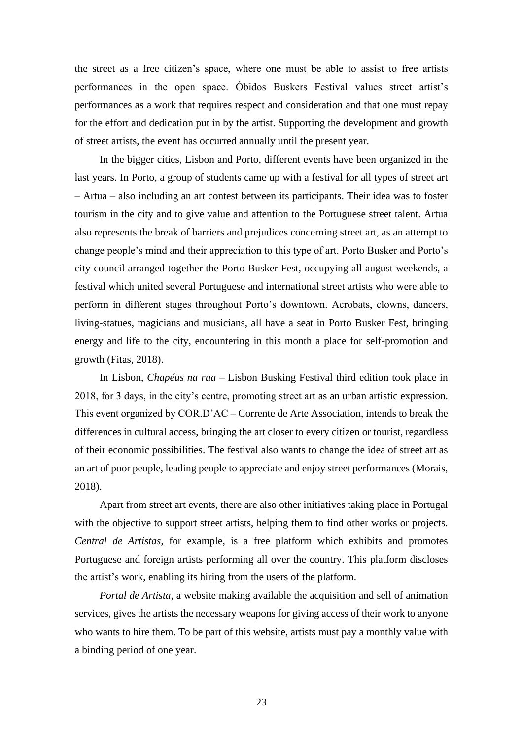the street as a free citizen's space, where one must be able to assist to free artists performances in the open space. Óbidos Buskers Festival values street artist's performances as a work that requires respect and consideration and that one must repay for the effort and dedication put in by the artist. Supporting the development and growth of street artists, the event has occurred annually until the present year.

In the bigger cities, Lisbon and Porto, different events have been organized in the last years. In Porto, a group of students came up with a festival for all types of street art – Artua – also including an art contest between its participants. Their idea was to foster tourism in the city and to give value and attention to the Portuguese street talent. Artua also represents the break of barriers and prejudices concerning street art, as an attempt to change people's mind and their appreciation to this type of art. Porto Busker and Porto's city council arranged together the Porto Busker Fest, occupying all august weekends, a festival which united several Portuguese and international street artists who were able to perform in different stages throughout Porto's downtown. Acrobats, clowns, dancers, living-statues, magicians and musicians, all have a seat in Porto Busker Fest, bringing energy and life to the city, encountering in this month a place for self-promotion and growth (Fitas, 2018).

In Lisbon, *Chapéus na rua* – Lisbon Busking Festival third edition took place in 2018, for 3 days, in the city's centre, promoting street art as an urban artistic expression. This event organized by COR.D'AC – Corrente de Arte Association, intends to break the differences in cultural access, bringing the art closer to every citizen or tourist, regardless of their economic possibilities. The festival also wants to change the idea of street art as an art of poor people, leading people to appreciate and enjoy street performances (Morais, 2018).

Apart from street art events, there are also other initiatives taking place in Portugal with the objective to support street artists, helping them to find other works or projects. *Central de Artistas*, for example, is a free platform which exhibits and promotes Portuguese and foreign artists performing all over the country. This platform discloses the artist's work, enabling its hiring from the users of the platform.

*Portal de Artista*, a website making available the acquisition and sell of animation services, gives the artists the necessary weapons for giving access of their work to anyone who wants to hire them. To be part of this website, artists must pay a monthly value with a binding period of one year.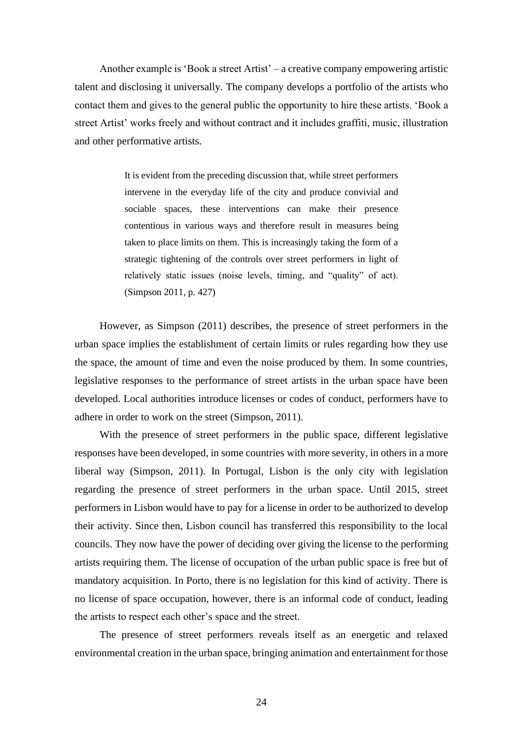Another example is 'Book a street Artist' – a creative company empowering artistic talent and disclosing it universally. The company develops a portfolio of the artists who contact them and gives to the general public the opportunity to hire these artists. 'Book a street Artist' works freely and without contract and it includes graffiti, music, illustration and other performative artists.

> It is evident from the preceding discussion that, while street performers intervene in the everyday life of the city and produce convivial and sociable spaces, these interventions can make their presence contentious in various ways and therefore result in measures being taken to place limits on them. This is increasingly taking the form of a strategic tightening of the controls over street performers in light of relatively static issues (noise levels, timing, and "quality" of act). (Simpson 2011, p. 427)

However, as Simpson (2011) describes, the presence of street performers in the urban space implies the establishment of certain limits or rules regarding how they use the space, the amount of time and even the noise produced by them. In some countries, legislative responses to the performance of street artists in the urban space have been developed. Local authorities introduce licenses or codes of conduct, performers have to adhere in order to work on the street (Simpson, 2011).

With the presence of street performers in the public space, different legislative responses have been developed, in some countries with more severity, in others in a more liberal way (Simpson, 2011). In Portugal, Lisbon is the only city with legislation regarding the presence of street performers in the urban space. Until 2015, street performers in Lisbon would have to pay for a license in order to be authorized to develop their activity. Since then, Lisbon council has transferred this responsibility to the local councils. They now have the power of deciding over giving the license to the performing artists requiring them. The license of occupation of the urban public space is free but of mandatory acquisition. In Porto, there is no legislation for this kind of activity. There is no license of space occupation, however, there is an informal code of conduct, leading the artists to respect each other's space and the street.

The presence of street performers reveals itself as an energetic and relaxed environmental creation in the urban space, bringing animation and entertainment for those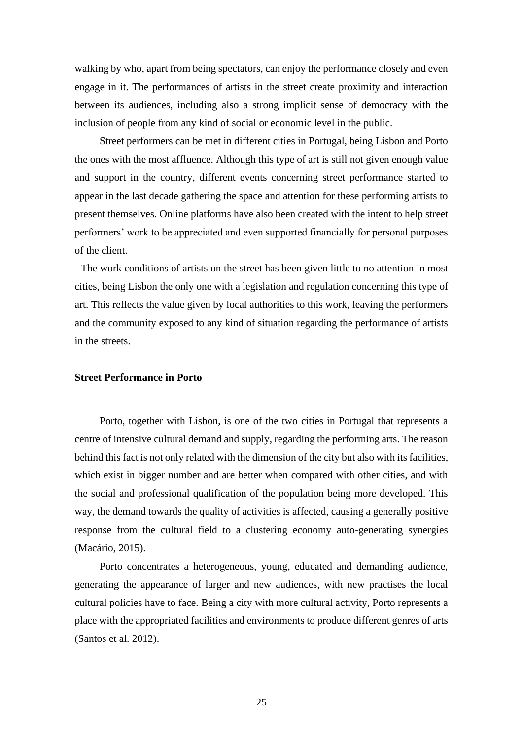walking by who, apart from being spectators, can enjoy the performance closely and even engage in it. The performances of artists in the street create proximity and interaction between its audiences, including also a strong implicit sense of democracy with the inclusion of people from any kind of social or economic level in the public.

Street performers can be met in different cities in Portugal, being Lisbon and Porto the ones with the most affluence. Although this type of art is still not given enough value and support in the country, different events concerning street performance started to appear in the last decade gathering the space and attention for these performing artists to present themselves. Online platforms have also been created with the intent to help street performers' work to be appreciated and even supported financially for personal purposes of the client.

The work conditions of artists on the street has been given little to no attention in most cities, being Lisbon the only one with a legislation and regulation concerning this type of art. This reflects the value given by local authorities to this work, leaving the performers and the community exposed to any kind of situation regarding the performance of artists in the streets.

## **Street Performance in Porto**

Porto, together with Lisbon, is one of the two cities in Portugal that represents a centre of intensive cultural demand and supply, regarding the performing arts. The reason behind this fact is not only related with the dimension of the city but also with its facilities, which exist in bigger number and are better when compared with other cities, and with the social and professional qualification of the population being more developed. This way, the demand towards the quality of activities is affected, causing a generally positive response from the cultural field to a clustering economy auto-generating synergies (Macário, 2015).

Porto concentrates a heterogeneous, young, educated and demanding audience, generating the appearance of larger and new audiences, with new practises the local cultural policies have to face. Being a city with more cultural activity, Porto represents a place with the appropriated facilities and environments to produce different genres of arts (Santos et al. 2012).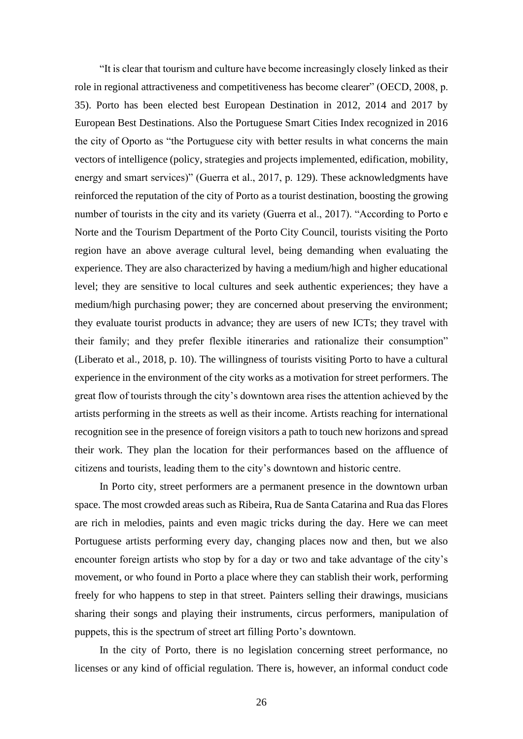"It is clear that tourism and culture have become increasingly closely linked as their role in regional attractiveness and competitiveness has become clearer" (OECD, 2008, p. 35). Porto has been elected best European Destination in 2012, 2014 and 2017 by European Best Destinations. Also the Portuguese Smart Cities Index recognized in 2016 the city of Oporto as "the Portuguese city with better results in what concerns the main vectors of intelligence (policy, strategies and projects implemented, edification, mobility, energy and smart services)" (Guerra et al., 2017, p. 129). These acknowledgments have reinforced the reputation of the city of Porto as a tourist destination, boosting the growing number of tourists in the city and its variety (Guerra et al., 2017). "According to Porto e Norte and the Tourism Department of the Porto City Council, tourists visiting the Porto region have an above average cultural level, being demanding when evaluating the experience. They are also characterized by having a medium/high and higher educational level; they are sensitive to local cultures and seek authentic experiences; they have a medium/high purchasing power; they are concerned about preserving the environment; they evaluate tourist products in advance; they are users of new ICTs; they travel with their family; and they prefer flexible itineraries and rationalize their consumption" (Liberato et al., 2018, p. 10). The willingness of tourists visiting Porto to have a cultural experience in the environment of the city works as a motivation for street performers. The great flow of tourists through the city's downtown area rises the attention achieved by the artists performing in the streets as well as their income. Artists reaching for international recognition see in the presence of foreign visitors a path to touch new horizons and spread their work. They plan the location for their performances based on the affluence of citizens and tourists, leading them to the city's downtown and historic centre.

In Porto city, street performers are a permanent presence in the downtown urban space. The most crowded areas such as Ribeira, Rua de Santa Catarina and Rua das Flores are rich in melodies, paints and even magic tricks during the day. Here we can meet Portuguese artists performing every day, changing places now and then, but we also encounter foreign artists who stop by for a day or two and take advantage of the city's movement, or who found in Porto a place where they can stablish their work, performing freely for who happens to step in that street. Painters selling their drawings, musicians sharing their songs and playing their instruments, circus performers, manipulation of puppets, this is the spectrum of street art filling Porto's downtown.

In the city of Porto, there is no legislation concerning street performance, no licenses or any kind of official regulation. There is, however, an informal conduct code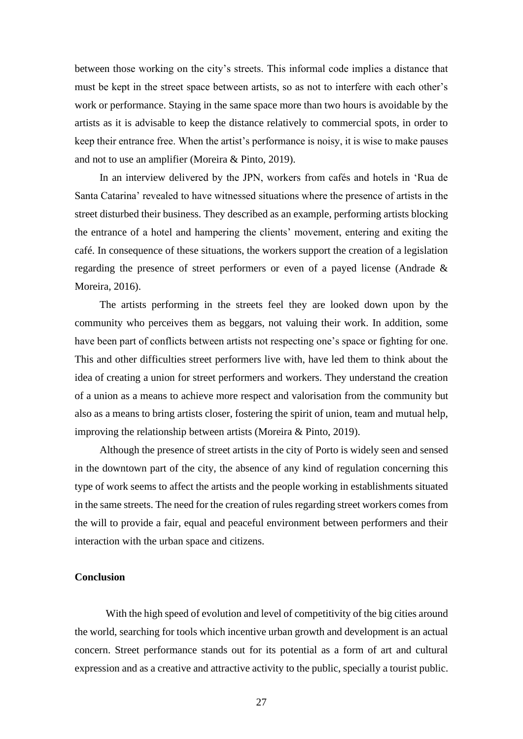between those working on the city's streets. This informal code implies a distance that must be kept in the street space between artists, so as not to interfere with each other's work or performance. Staying in the same space more than two hours is avoidable by the artists as it is advisable to keep the distance relatively to commercial spots, in order to keep their entrance free. When the artist's performance is noisy, it is wise to make pauses and not to use an amplifier (Moreira & Pinto, 2019).

In an interview delivered by the JPN, workers from cafés and hotels in 'Rua de Santa Catarina' revealed to have witnessed situations where the presence of artists in the street disturbed their business. They described as an example, performing artists blocking the entrance of a hotel and hampering the clients' movement, entering and exiting the café. In consequence of these situations, the workers support the creation of a legislation regarding the presence of street performers or even of a payed license (Andrade & Moreira, 2016).

The artists performing in the streets feel they are looked down upon by the community who perceives them as beggars, not valuing their work. In addition, some have been part of conflicts between artists not respecting one's space or fighting for one. This and other difficulties street performers live with, have led them to think about the idea of creating a union for street performers and workers. They understand the creation of a union as a means to achieve more respect and valorisation from the community but also as a means to bring artists closer, fostering the spirit of union, team and mutual help, improving the relationship between artists (Moreira & Pinto, 2019).

Although the presence of street artists in the city of Porto is widely seen and sensed in the downtown part of the city, the absence of any kind of regulation concerning this type of work seems to affect the artists and the people working in establishments situated in the same streets. The need for the creation of rules regarding street workers comes from the will to provide a fair, equal and peaceful environment between performers and their interaction with the urban space and citizens.

## **Conclusion**

With the high speed of evolution and level of competitivity of the big cities around the world, searching for tools which incentive urban growth and development is an actual concern. Street performance stands out for its potential as a form of art and cultural expression and as a creative and attractive activity to the public, specially a tourist public.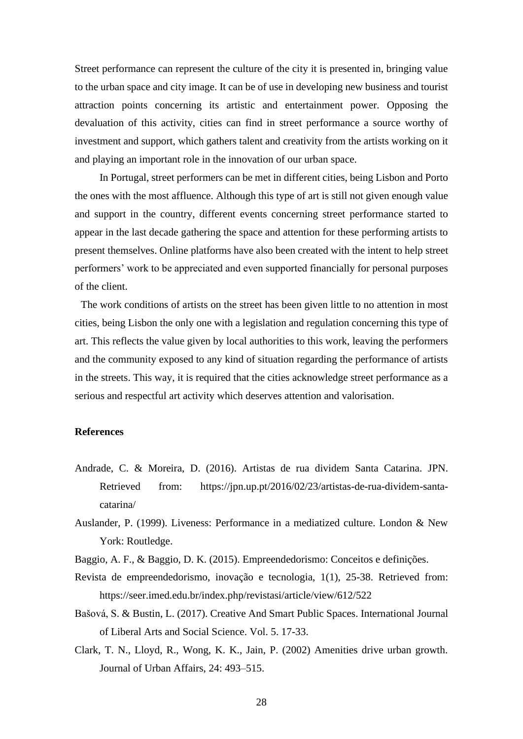Street performance can represent the culture of the city it is presented in, bringing value to the urban space and city image. It can be of use in developing new business and tourist attraction points concerning its artistic and entertainment power. Opposing the devaluation of this activity, cities can find in street performance a source worthy of investment and support, which gathers talent and creativity from the artists working on it and playing an important role in the innovation of our urban space.

In Portugal, street performers can be met in different cities, being Lisbon and Porto the ones with the most affluence. Although this type of art is still not given enough value and support in the country, different events concerning street performance started to appear in the last decade gathering the space and attention for these performing artists to present themselves. Online platforms have also been created with the intent to help street performers' work to be appreciated and even supported financially for personal purposes of the client.

The work conditions of artists on the street has been given little to no attention in most cities, being Lisbon the only one with a legislation and regulation concerning this type of art. This reflects the value given by local authorities to this work, leaving the performers and the community exposed to any kind of situation regarding the performance of artists in the streets. This way, it is required that the cities acknowledge street performance as a serious and respectful art activity which deserves attention and valorisation.

## **References**

- Andrade, C. & Moreira, D. (2016). Artistas de rua dividem Santa Catarina. JPN. Retrieved from: https://jpn.up.pt/2016/02/23/artistas-de-rua-dividem-santacatarina/
- Auslander, P. (1999). Liveness: Performance in a mediatized culture. London & New York: Routledge.
- Baggio, A. F., & Baggio, D. K. (2015). Empreendedorismo: Conceitos e definições.
- Revista de empreendedorismo, inovação e tecnologia, 1(1), 25-38. Retrieved from: https://seer.imed.edu.br/index.php/revistasi/article/view/612/522
- Bašová, S. & Bustin, L. (2017). Creative And Smart Public Spaces. International Journal of Liberal Arts and Social Science. Vol. 5. 17-33.
- Clark, T. N., Lloyd, R., Wong, K. K., Jain, P. (2002) Amenities drive urban growth. Journal of Urban Affairs, 24: 493–515.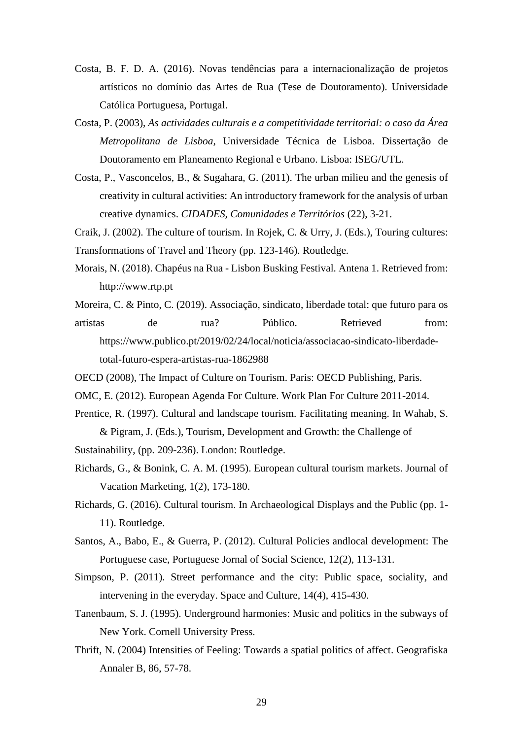- Costa, B. F. D. A. (2016). Novas tendências para a internacionalização de projetos artísticos no domínio das Artes de Rua (Tese de Doutoramento). Universidade Católica Portuguesa, Portugal.
- Costa, P. (2003), *As actividades culturais e a competitividade territorial: o caso da Área Metropolitana de Lisboa*, Universidade Técnica de Lisboa. Dissertação de Doutoramento em Planeamento Regional e Urbano. Lisboa: ISEG/UTL.
- Costa, P., Vasconcelos, B., & Sugahara, G. (2011). The urban milieu and the genesis of creativity in cultural activities: An introductory framework for the analysis of urban creative dynamics. *CIDADES, Comunidades e Territórios* (22), 3-21.

Craik, J. (2002). The culture of tourism. In Rojek, C. & Urry, J. (Eds.), Touring cultures:

Transformations of Travel and Theory (pp. 123-146). Routledge.

- Morais, N. (2018). Chapéus na Rua Lisbon Busking Festival. Antena 1. Retrieved from: http://www.rtp.pt
- Moreira, C. & Pinto, C. (2019). Associação, sindicato, liberdade total: que futuro para os artistas de rua? Público. Retrieved from: https://www.publico.pt/2019/02/24/local/noticia/associacao-sindicato-liberdadetotal-futuro-espera-artistas-rua-1862988
- OECD (2008), The Impact of Culture on Tourism. Paris: OECD Publishing, Paris.
- OMC, E. (2012). European Agenda For Culture. Work Plan For Culture 2011-2014.
- Prentice, R. (1997). Cultural and landscape tourism. Facilitating meaning. In Wahab, S. & Pigram, J. (Eds.), Tourism, Development and Growth: the Challenge of
- Sustainability, (pp. 209-236). London: Routledge.
- Richards, G., & Bonink, C. A. M. (1995). European cultural tourism markets. Journal of Vacation Marketing, 1(2), 173-180.
- Richards, G. (2016). Cultural tourism. In Archaeological Displays and the Public (pp. 1- 11). Routledge.
- Santos, A., Babo, E., & Guerra, P. (2012). Cultural Policies andlocal development: The Portuguese case, Portuguese Jornal of Social Science, 12(2), 113-131.
- Simpson, P. (2011). Street performance and the city: Public space, sociality, and intervening in the everyday. Space and Culture, 14(4), 415-430.
- Tanenbaum, S. J. (1995). Underground harmonies: Music and politics in the subways of New York. Cornell University Press.
- Thrift, N. (2004) Intensities of Feeling: Towards a spatial politics of affect. Geografiska Annaler B, 86, 57-78.